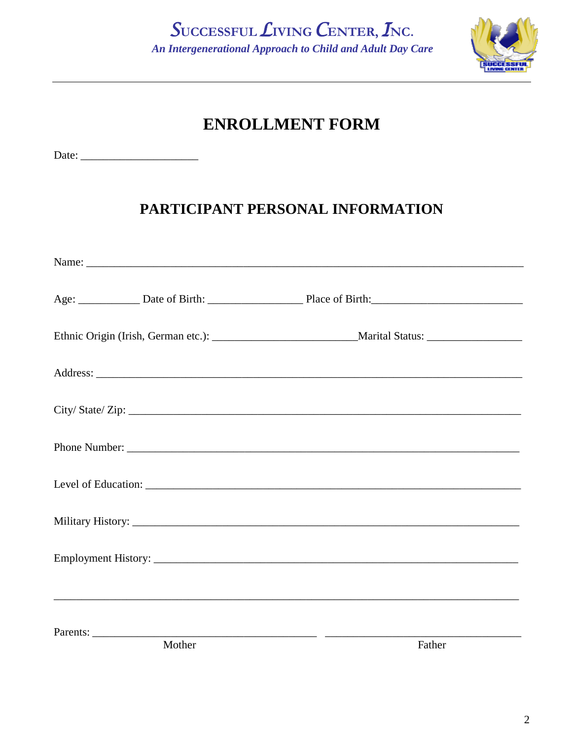SUCCESSFUL LIVING CENTER, INC. An Intergenerational Approach to Child and Adult Day Care



# **ENROLLMENT FORM**

## PARTICIPANT PERSONAL INFORMATION

| City/State/Zip: |        |  |
|-----------------|--------|--|
|                 |        |  |
|                 |        |  |
|                 |        |  |
|                 |        |  |
|                 |        |  |
|                 |        |  |
|                 |        |  |
|                 |        |  |
|                 |        |  |
|                 |        |  |
| Parents:        |        |  |
| Mother          | Father |  |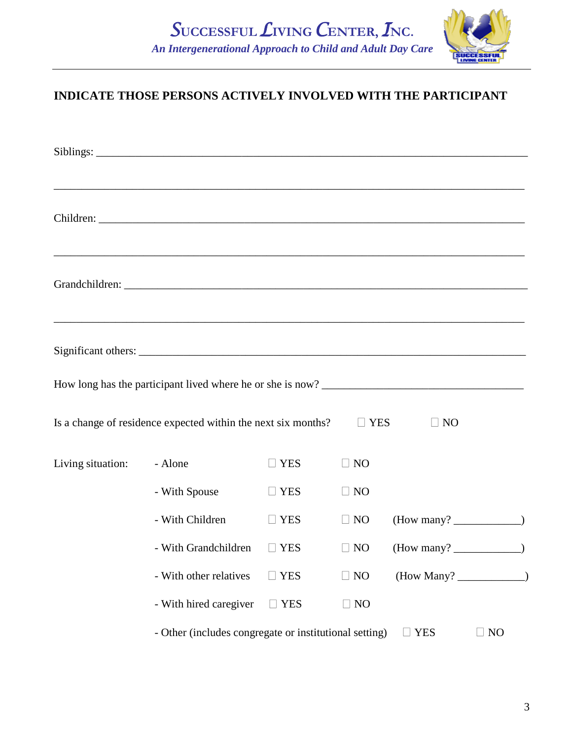

### **INDICATE THOSE PERSONS ACTIVELY INVOLVED WITH THE PARTICIPANT**

|                   |                                                               |            |            | ,我们也不能在这里的时候,我们也不能在这里的时候,我们也不能在这里的时候,我们也不能会在这里的时候,我们也不能会在这里的时候,我们也不能会在这里的时候,我们也不能 |
|-------------------|---------------------------------------------------------------|------------|------------|-----------------------------------------------------------------------------------|
|                   |                                                               |            |            | ,我们也不能在这里的人,我们也不能在这里的人,我们也不能在这里的人,我们也不能在这里的人,我们也不能在这里的人,我们也不能在这里的人,我们也不能在这里的人,我们也 |
|                   |                                                               |            |            | ,我们也不能在这里的时候,我们也不能在这里的时候,我们也不能不能不能不能不能不能不能不能不能不能不能不能不能不能。""我们,我们也不能不能不能不能不能不能不能不  |
|                   |                                                               |            |            |                                                                                   |
|                   | Is a change of residence expected within the next six months? |            | $\Box$ YES | $\Box$ NO                                                                         |
| Living situation: | - Alone                                                       | <b>YES</b> | $\Box$ NO  |                                                                                   |
|                   | - With Spouse                                                 | $\Box$ YES | $\Box$ NO  |                                                                                   |
|                   | - With Children                                               | $\Box$ YES | $\Box$ NO  |                                                                                   |
|                   | - With Grandchildren                                          | $\Box$ YES | $\Box$ NO  |                                                                                   |
|                   | - With other relatives                                        | <b>YES</b> | $\Box$ NO  |                                                                                   |
|                   | - With hired caregiver                                        | $\Box$ YES | $\Box$ NO  |                                                                                   |
|                   | - Other (includes congregate or institutional setting)        |            |            | <b>YES</b><br>$\Box$ NO                                                           |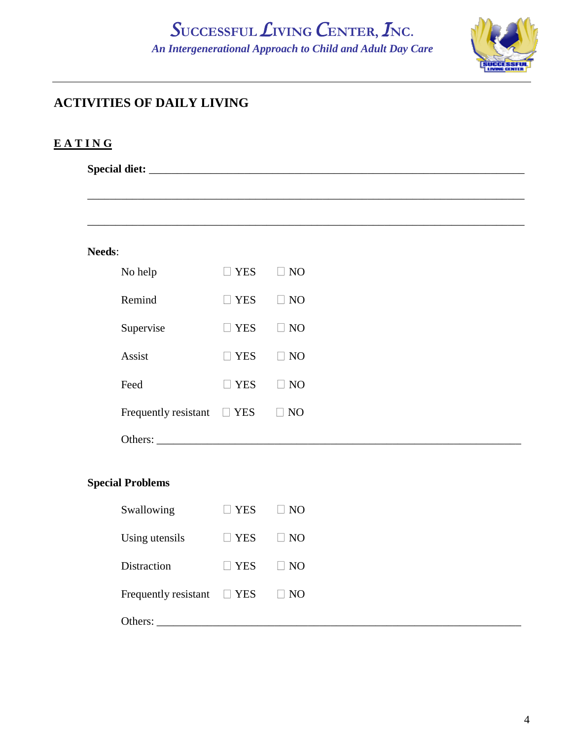## *S***UCCESSFUL***L***IVING** *C***ENTER,** *I***NC.**  *An Intergenerational Approach to Child and Adult Day Care*



### **ACTIVITIES OF DAILY LIVING**

### **E A T I N G**

**Special diet:** \_\_\_\_\_\_\_\_\_\_\_\_\_\_\_\_\_\_\_\_\_\_\_\_\_\_\_\_\_\_\_\_\_\_\_\_\_\_\_\_\_\_\_\_\_\_\_\_\_\_\_\_\_\_\_\_\_\_\_\_\_\_\_\_\_\_\_

| <b>Needs:</b> |                                 |                            |           |
|---------------|---------------------------------|----------------------------|-----------|
|               | No help                         | $\Box$ YES                 | $\Box$ NO |
|               | Remind                          | $\Box$ YES                 | $\Box$ NO |
|               | Supervise                       | $\Box$ YES                 | $\Box$ NO |
|               | Assist                          | $\Box$ YES                 | $\Box$ NO |
|               | Feed                            | <b>YES</b><br>$\mathbf{L}$ | $\Box$ NO |
|               | Frequently resistant $\Box$ YES |                            | $\Box$ NO |
|               | Others:                         |                            |           |
|               |                                 |                            |           |

### **Special Problems**

| Swallowing                      | <b>YES</b> | $\Box$ NO |
|---------------------------------|------------|-----------|
| Using utensils                  | <b>YES</b> | $\Box$ NO |
| <b>Distraction</b>              | <b>YES</b> | $\Box$ NO |
| Frequently resistant $\Box$ YES |            | $\Box$ NO |
| Others:                         |            |           |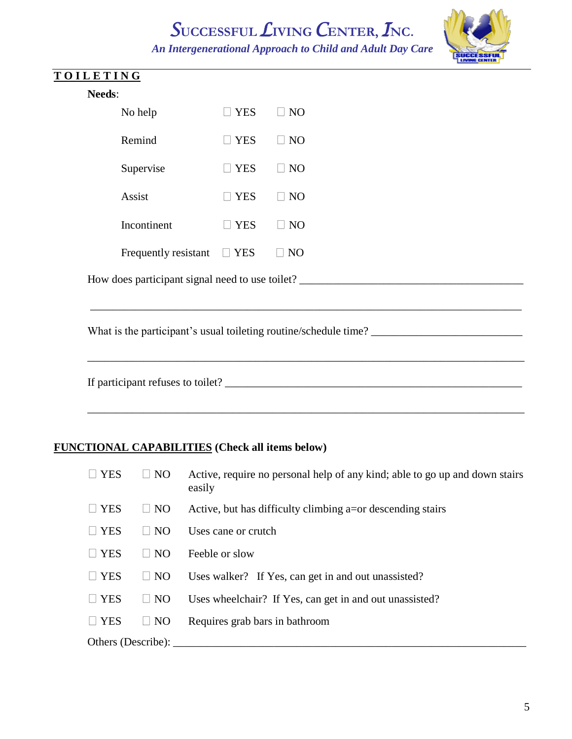# *S***UCCESSFUL***L***IVING** *C***ENTER,** *I***NC.**

 *An Intergenerational Approach to Child and Adult Day Care*

\_\_\_\_\_\_\_\_\_\_\_\_\_\_\_\_\_\_\_\_\_\_\_\_\_\_\_\_\_\_\_\_\_\_\_\_\_\_\_\_\_\_\_\_\_\_\_\_\_\_\_\_\_\_\_\_\_\_\_\_\_\_\_\_\_\_\_\_\_\_\_\_\_\_\_\_\_

\_\_\_\_\_\_\_\_\_\_\_\_\_\_\_\_\_\_\_\_\_\_\_\_\_\_\_\_\_\_\_\_\_\_\_\_\_\_\_\_\_\_\_\_\_\_\_\_\_\_\_\_\_\_\_\_\_\_\_\_\_\_\_\_\_\_\_\_\_\_\_\_\_\_\_\_\_\_



|  | OILETIN |  |  |  |
|--|---------|--|--|--|
|  |         |  |  |  |

| No help              | l I YES       | NO.             |
|----------------------|---------------|-----------------|
| Remind               | $\Box$ YES    | <b>NO</b>       |
| Supervise            | <b>YES</b>    | NO <sub>1</sub> |
| Assist               | <b>II</b> YES | N <sub>O</sub>  |
| Incontinent          | <b>YES</b>    | <b>NO</b>       |
| Frequently resistant | <b>YES</b>    |                 |

How does participant signal need to use toilet? \_\_\_\_\_\_\_\_\_\_\_\_\_\_\_\_\_\_\_\_\_\_\_\_\_\_\_\_\_\_\_\_\_

What is the participant's usual toileting routine/schedule time? \_\_\_\_\_\_\_\_\_\_\_\_\_\_\_\_\_\_\_\_\_\_\_\_\_\_\_

If participant refuses to toilet? \_\_\_\_\_\_\_\_\_\_\_\_\_\_\_\_\_\_\_\_\_\_\_\_\_\_\_\_\_\_\_\_\_\_\_\_\_\_\_\_\_\_\_\_\_\_\_\_\_\_\_\_\_

### **FUNCTIONAL CAPABILITIES (Check all items below)**

| $\Box$ YES         | $\Box$ NO | Active, require no personal help of any kind; able to go up and down stairs<br>easily |
|--------------------|-----------|---------------------------------------------------------------------------------------|
| $\Box$ YES         | $\Box$ NO | Active, but has difficulty climbing a=or descending stairs                            |
| $\Box$ YES         | $\Box$ NO | Uses cane or crutch                                                                   |
| $\Box$ YES         | $\Box$ NO | Feeble or slow                                                                        |
| $\Box$ YES         | $\Box$ NO | Uses walker? If Yes, can get in and out unassisted?                                   |
| $\Box$ YES         | $\Box$ NO | Uses wheelchair? If Yes, can get in and out unassisted?                               |
| $\Box$ YES         | $\Box$ NO | Requires grab bars in bathroom                                                        |
| Others (Describe): |           |                                                                                       |

\_\_\_\_\_\_\_\_\_\_\_\_\_\_\_\_\_\_\_\_\_\_\_\_\_\_\_\_\_\_\_\_\_\_\_\_\_\_\_\_\_\_\_\_\_\_\_\_\_\_\_\_\_\_\_\_\_\_\_\_\_\_\_\_\_\_\_\_\_\_\_\_\_\_\_\_\_\_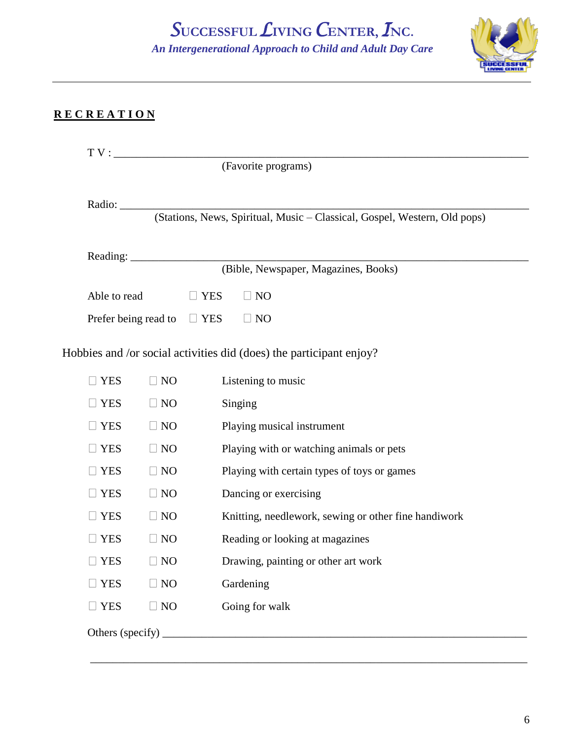*S***UCCESSFUL***L***IVING** *C***ENTER,** *I***NC.**  *An Intergenerational Approach to Child and Adult Day Care*



### **R E C R E A T I O N**

|                                                                                  |                | (Favorite programs)                                                       |
|----------------------------------------------------------------------------------|----------------|---------------------------------------------------------------------------|
|                                                                                  |                | Radio: $\overline{\qquad \qquad }$                                        |
|                                                                                  |                | (Stations, News, Spiritual, Music - Classical, Gospel, Western, Old pops) |
| Reading: $\frac{1}{\sqrt{1 + \frac{1}{2} + \frac{1}{2} + \cdots + \frac{1}{2}}}$ |                |                                                                           |
|                                                                                  |                | (Bible, Newspaper, Magazines, Books)                                      |
| Able to read                                                                     | $\Box$ YES     | $\Box$ NO                                                                 |
| Prefer being read to                                                             | $\Box$ YES     | $\Box$ NO                                                                 |
|                                                                                  |                | Hobbies and /or social activities did (does) the participant enjoy?       |
| <b>YES</b><br>$\Box$ NO                                                          |                | Listening to music                                                        |
|                                                                                  |                |                                                                           |
| $\Box$ YES<br>$\Box$ NO                                                          |                | Singing                                                                   |
| $\Box$ YES<br>$\Box$ NO                                                          |                | Playing musical instrument                                                |
| <b>YES</b><br>$\Box$ NO                                                          |                | Playing with or watching animals or pets                                  |
| <b>YES</b><br>$\Box$ NO                                                          |                | Playing with certain types of toys or games                               |
| <b>YES</b><br>$\Box$ NO                                                          |                | Dancing or exercising                                                     |
| <b>YES</b><br>$\Box$ NO                                                          |                | Knitting, needlework, sewing or other fine handiwork                      |
| $\Box$ NO<br><b>YES</b>                                                          |                | Reading or looking at magazines                                           |
| <b>YES</b>                                                                       | N <sub>O</sub> | Drawing, painting or other art work                                       |
| $\Box$ NO<br><b>YES</b>                                                          |                | Gardening                                                                 |

\_\_\_\_\_\_\_\_\_\_\_\_\_\_\_\_\_\_\_\_\_\_\_\_\_\_\_\_\_\_\_\_\_\_\_\_\_\_\_\_\_\_\_\_\_\_\_\_\_\_\_\_\_\_\_\_\_\_\_\_\_\_\_\_\_\_\_\_\_\_\_\_\_\_\_\_\_\_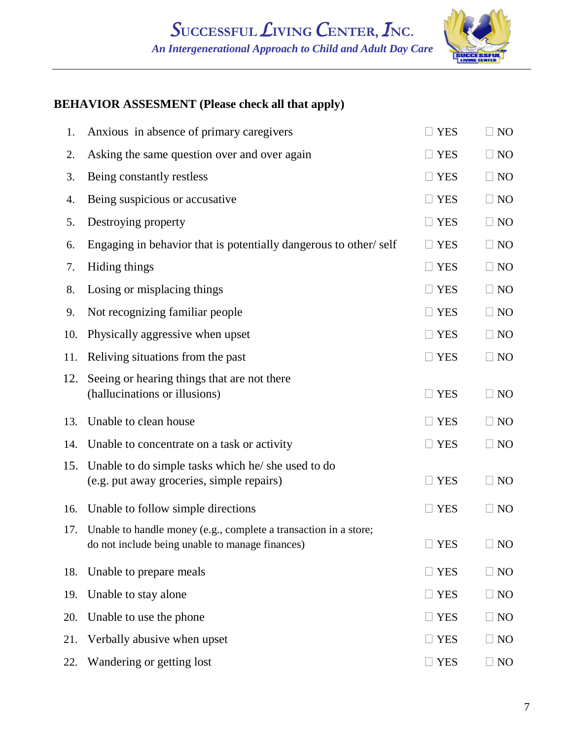

### **BEHAVIOR ASSESMENT (Please check all that apply)**

| 1.  | Anxious in absence of primary caregivers                                                                            | <b>YES</b>           | $\Box$ NO |
|-----|---------------------------------------------------------------------------------------------------------------------|----------------------|-----------|
| 2.  | Asking the same question over and over again                                                                        | <b>YES</b>           | $\Box$ NO |
| 3.  | Being constantly restless                                                                                           | <b>YES</b><br>$\Box$ | $\Box$ NO |
| 4.  | Being suspicious or accusative                                                                                      | $\Box$ YES           | $\Box$ NO |
| 5.  | Destroying property                                                                                                 | $\Box$ YES           | $\Box$ NO |
| 6.  | Engaging in behavior that is potentially dangerous to other/self                                                    | <b>YES</b><br>$\Box$ | $\Box$ NO |
| 7.  | Hiding things                                                                                                       | $\Box$ YES           | $\Box$ NO |
| 8.  | Losing or misplacing things                                                                                         | $\Box$ YES           | $\Box$ NO |
| 9.  | Not recognizing familiar people                                                                                     | $\Box$ YES           | $\Box$ NO |
| 10. | Physically aggressive when upset                                                                                    | $\Box$ YES           | $\Box$ NO |
| 11. | Reliving situations from the past                                                                                   | $\Box$ YES           | $\Box$ NO |
| 12. | Seeing or hearing things that are not there<br>(hallucinations or illusions)                                        | $\Box$ YES           | $\Box$ NO |
| 13. | Unable to clean house                                                                                               | $\Box$ YES           | $\Box$ NO |
| 14. | Unable to concentrate on a task or activity                                                                         | $\Box$ YES           | $\Box$ NO |
| 15. | Unable to do simple tasks which he/ she used to do<br>(e.g. put away groceries, simple repairs)                     | $\Box$ YES           | $\Box$ NO |
| 16. | Unable to follow simple directions                                                                                  | $\Box$ YES           | $\Box$ NO |
| 17. | Unable to handle money (e.g., complete a transaction in a store;<br>do not include being unable to manage finances) | $\square$ YES        | NO        |
| 18. | Unable to prepare meals                                                                                             | $\Box$ YES           | $\Box$ NO |
| 19. | Unable to stay alone                                                                                                | $\Box$ YES           | $\Box$ NO |
| 20. | Unable to use the phone                                                                                             | $\Box$ YES           | $\Box$ NO |
| 21. | Verbally abusive when upset                                                                                         | $\Box$ YES           | $\Box$ NO |
| 22. | Wandering or getting lost                                                                                           | $\Box$ YES           | $\Box$ NO |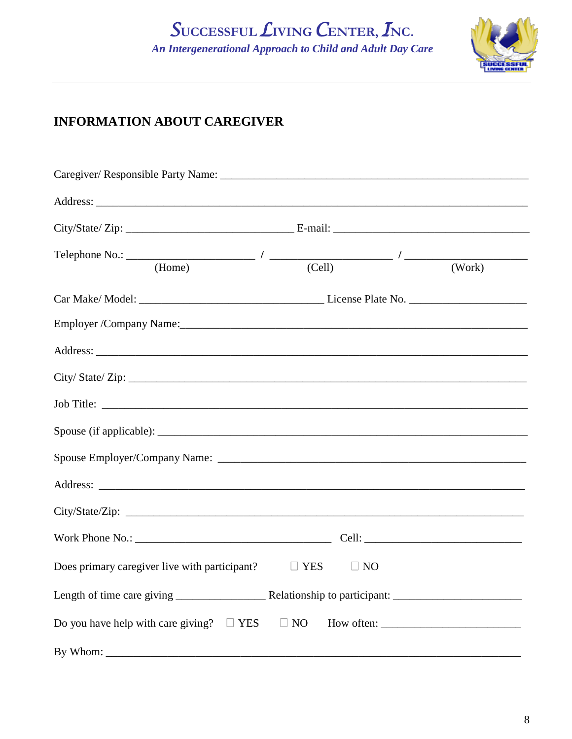## SUCCESSFUL LIVING CENTER, INC. An Intergenerational Approach to Child and Adult Day Care



## **INFORMATION ABOUT CAREGIVER**

| Address: <u>Address</u> and the contract of the contract of the contract of the contract of the contract of the contract of the contract of the contract of the contract of the contract of the contract of the contract of the con |  |                     |
|-------------------------------------------------------------------------------------------------------------------------------------------------------------------------------------------------------------------------------------|--|---------------------|
|                                                                                                                                                                                                                                     |  |                     |
| Telephone No.: $\qquad$ (Home) $\qquad$ / (Cell) $\qquad$ / (Cell)                                                                                                                                                                  |  | $\overline{(Work)}$ |
|                                                                                                                                                                                                                                     |  |                     |
|                                                                                                                                                                                                                                     |  |                     |
|                                                                                                                                                                                                                                     |  |                     |
| City/State/Zip:                                                                                                                                                                                                                     |  |                     |
|                                                                                                                                                                                                                                     |  |                     |
|                                                                                                                                                                                                                                     |  |                     |
|                                                                                                                                                                                                                                     |  |                     |
|                                                                                                                                                                                                                                     |  |                     |
| City/State/Zip:                                                                                                                                                                                                                     |  |                     |
|                                                                                                                                                                                                                                     |  |                     |
| Does primary caregiver live with participant? $\square$ YES $\square$ NO                                                                                                                                                            |  |                     |
|                                                                                                                                                                                                                                     |  |                     |
|                                                                                                                                                                                                                                     |  |                     |
| By Whom:                                                                                                                                                                                                                            |  |                     |